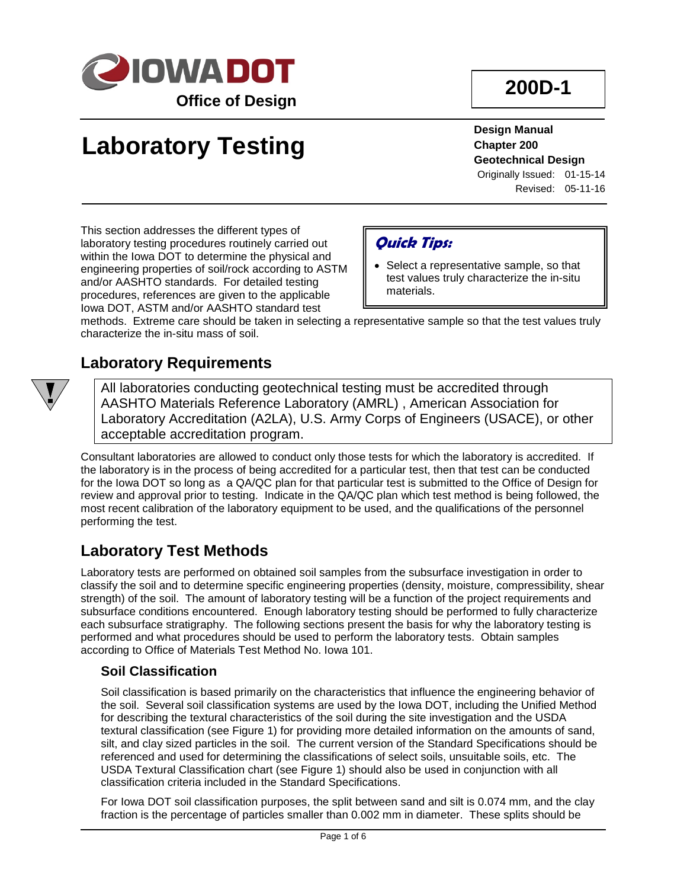

# **Laboratory Testing**

**Design Manual Chapter 200 Geotechnical Design**

Originally Issued: 01-15-14 Revised: 05-11-16

This section addresses the different types of laboratory testing procedures routinely carried out within the Iowa DOT to determine the physical and engineering properties of soil/rock according to ASTM and/or AASHTO standards. For detailed testing procedures, references are given to the applicable Iowa DOT, ASTM and/or AASHTO standard test

## **Quick Tips:**

• Select a representative sample, so that test values truly characterize the in-situ materials.

methods. Extreme care should be taken in selecting a representative sample so that the test values truly characterize the in-situ mass of soil.

## **Laboratory Requirements**

All laboratories conducting geotechnical testing must be accredited through AASHTO Materials Reference Laboratory (AMRL) , American Association for Laboratory Accreditation (A2LA), U.S. Army Corps of Engineers (USACE), or other acceptable accreditation program.

Consultant laboratories are allowed to conduct only those tests for which the laboratory is accredited. If the laboratory is in the process of being accredited for a particular test, then that test can be conducted for the Iowa DOT so long as a QA/QC plan for that particular test is submitted to the Office of Design for review and approval prior to testing. Indicate in the QA/QC plan which test method is being followed, the most recent calibration of the laboratory equipment to be used, and the qualifications of the personnel performing the test.

## **Laboratory Test Methods**

Laboratory tests are performed on obtained soil samples from the subsurface investigation in order to classify the soil and to determine specific engineering properties (density, moisture, compressibility, shear strength) of the soil. The amount of laboratory testing will be a function of the project requirements and subsurface conditions encountered. Enough laboratory testing should be performed to fully characterize each subsurface stratigraphy. The following sections present the basis for why the laboratory testing is performed and what procedures should be used to perform the laboratory tests. Obtain samples according to Office of Materials Test Method No. Iowa 101.

#### **Soil Classification**

Soil classification is based primarily on the characteristics that influence the engineering behavior of the soil. Several soil classification systems are used by the Iowa DOT, including the Unified Method for describing the textural characteristics of the soil during the site investigation and the USDA textural classification (see Figure 1) for providing more detailed information on the amounts of sand, silt, and clay sized particles in the soil. The current version of the Standard Specifications should be referenced and used for determining the classifications of select soils, unsuitable soils, etc. The USDA Textural Classification chart (see Figure 1) should also be used in conjunction with all classification criteria included in the Standard Specifications.

For Iowa DOT soil classification purposes, the split between sand and silt is 0.074 mm, and the clay fraction is the percentage of particles smaller than 0.002 mm in diameter. These splits should be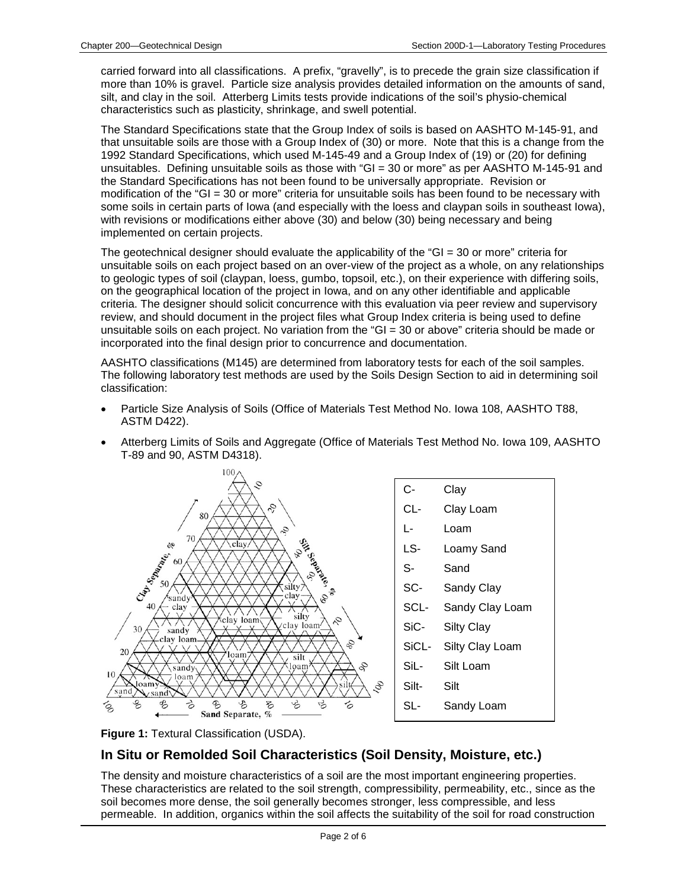carried forward into all classifications. A prefix, "gravelly", is to precede the grain size classification if more than 10% is gravel. Particle size analysis provides detailed information on the amounts of sand, silt, and clay in the soil. Atterberg Limits tests provide indications of the soil's physio-chemical characteristics such as plasticity, shrinkage, and swell potential.

The Standard Specifications state that the Group Index of soils is based on AASHTO M-145-91, and that unsuitable soils are those with a Group Index of (30) or more. Note that this is a change from the 1992 Standard Specifications, which used M-145-49 and a Group Index of (19) or (20) for defining unsuitables. Defining unsuitable soils as those with "GI = 30 or more" as per AASHTO M-145-91 and the Standard Specifications has not been found to be universally appropriate. Revision or modification of the "GI = 30 or more" criteria for unsuitable soils has been found to be necessary with some soils in certain parts of Iowa (and especially with the loess and claypan soils in southeast Iowa), with revisions or modifications either above (30) and below (30) being necessary and being implemented on certain projects.

The geotechnical designer should evaluate the applicability of the "GI = 30 or more" criteria for unsuitable soils on each project based on an over-view of the project as a whole, on any relationships to geologic types of soil (claypan, loess, gumbo, topsoil, etc.), on their experience with differing soils, on the geographical location of the project in Iowa, and on any other identifiable and applicable criteria. The designer should solicit concurrence with this evaluation via peer review and supervisory review, and should document in the project files what Group Index criteria is being used to define unsuitable soils on each project. No variation from the "GI = 30 or above" criteria should be made or incorporated into the final design prior to concurrence and documentation.

AASHTO classifications (M145) are determined from laboratory tests for each of the soil samples. The following laboratory test methods are used by the Soils Design Section to aid in determining soil classification:

- Particle Size Analysis of Soils (Office of Materials Test Method No. Iowa 108, AASHTO T88, ASTM D422).
- Atterberg Limits of Soils and Aggregate (Office of Materials Test Method No. Iowa 109, AASHTO T-89 and 90, ASTM D4318).





#### **In Situ or Remolded Soil Characteristics (Soil Density, Moisture, etc.)**

The density and moisture characteristics of a soil are the most important engineering properties. These characteristics are related to the soil strength, compressibility, permeability, etc., since as the soil becomes more dense, the soil generally becomes stronger, less compressible, and less permeable. In addition, organics within the soil affects the suitability of the soil for road construction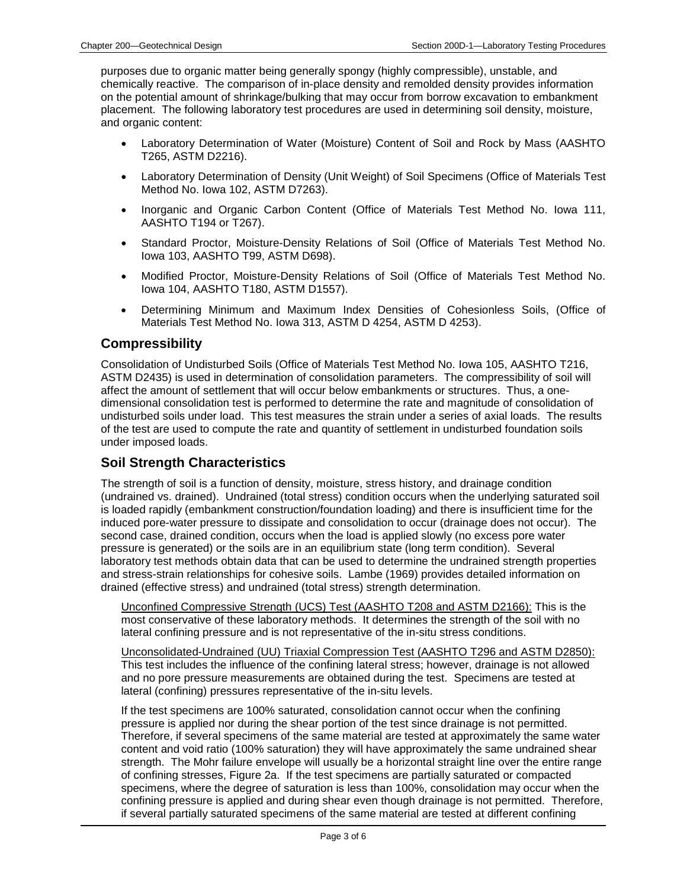purposes due to organic matter being generally spongy (highly compressible), unstable, and chemically reactive. The comparison of in-place density and remolded density provides information on the potential amount of shrinkage/bulking that may occur from borrow excavation to embankment placement. The following laboratory test procedures are used in determining soil density, moisture, and organic content:

- Laboratory Determination of Water (Moisture) Content of Soil and Rock by Mass (AASHTO T265, ASTM D2216).
- Laboratory Determination of Density (Unit Weight) of Soil Specimens (Office of Materials Test Method No. Iowa 102, ASTM D7263).
- Inorganic and Organic Carbon Content (Office of Materials Test Method No. Iowa 111, AASHTO T194 or T267).
- Standard Proctor, Moisture-Density Relations of Soil (Office of Materials Test Method No. Iowa 103, AASHTO T99, ASTM D698).
- Modified Proctor, Moisture-Density Relations of Soil (Office of Materials Test Method No. Iowa 104, AASHTO T180, ASTM D1557).
- Determining Minimum and Maximum Index Densities of Cohesionless Soils, (Office of Materials Test Method No. Iowa 313, ASTM D 4254, ASTM D 4253).

#### **Compressibility**

Consolidation of Undisturbed Soils (Office of Materials Test Method No. Iowa 105, AASHTO T216, ASTM D2435) is used in determination of consolidation parameters. The compressibility of soil will affect the amount of settlement that will occur below embankments or structures. Thus, a onedimensional consolidation test is performed to determine the rate and magnitude of consolidation of undisturbed soils under load. This test measures the strain under a series of axial loads. The results of the test are used to compute the rate and quantity of settlement in undisturbed foundation soils under imposed loads.

#### **Soil Strength Characteristics**

The strength of soil is a function of density, moisture, stress history, and drainage condition (undrained vs. drained). Undrained (total stress) condition occurs when the underlying saturated soil is loaded rapidly (embankment construction/foundation loading) and there is insufficient time for the induced pore-water pressure to dissipate and consolidation to occur (drainage does not occur). The second case, drained condition, occurs when the load is applied slowly (no excess pore water pressure is generated) or the soils are in an equilibrium state (long term condition). Several laboratory test methods obtain data that can be used to determine the undrained strength properties and stress-strain relationships for cohesive soils. Lambe (1969) provides detailed information on drained (effective stress) and undrained (total stress) strength determination.

Unconfined Compressive Strength (UCS) Test (AASHTO T208 and ASTM D2166): This is the most conservative of these laboratory methods. It determines the strength of the soil with no lateral confining pressure and is not representative of the in-situ stress conditions.

Unconsolidated-Undrained (UU) Triaxial Compression Test (AASHTO T296 and ASTM D2850): This test includes the influence of the confining lateral stress; however, drainage is not allowed and no pore pressure measurements are obtained during the test. Specimens are tested at lateral (confining) pressures representative of the in-situ levels.

If the test specimens are 100% saturated, consolidation cannot occur when the confining pressure is applied nor during the shear portion of the test since drainage is not permitted. Therefore, if several specimens of the same material are tested at approximately the same water content and void ratio (100% saturation) they will have approximately the same undrained shear strength. The Mohr failure envelope will usually be a horizontal straight line over the entire range of confining stresses, Figure 2a. If the test specimens are partially saturated or compacted specimens, where the degree of saturation is less than 100%, consolidation may occur when the confining pressure is applied and during shear even though drainage is not permitted. Therefore, if several partially saturated specimens of the same material are tested at different confining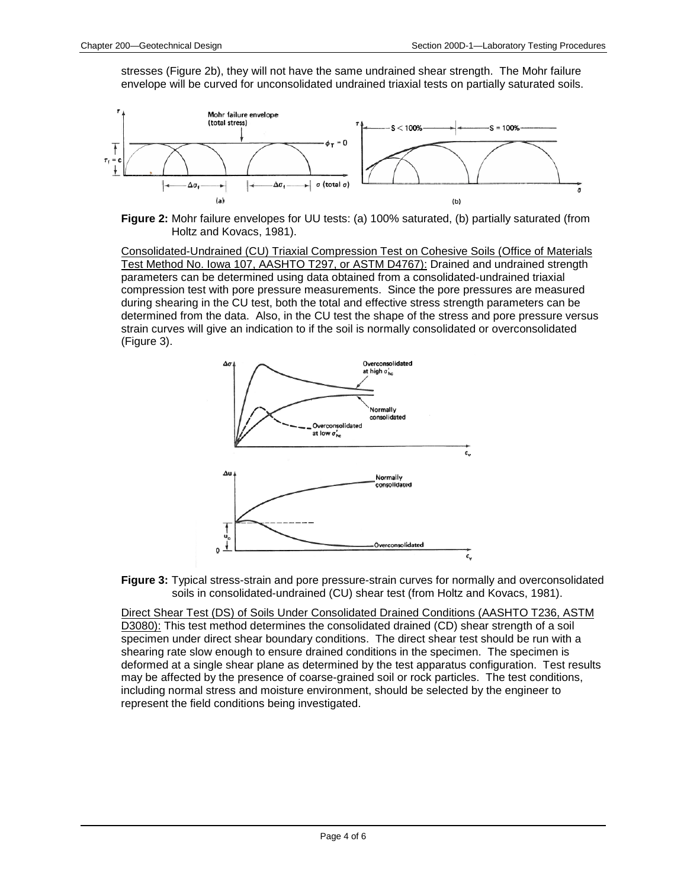stresses (Figure 2b), they will not have the same undrained shear strength. The Mohr failure envelope will be curved for unconsolidated undrained triaxial tests on partially saturated soils.



**Figure 2:** Mohr failure envelopes for UU tests: (a) 100% saturated, (b) partially saturated (from Holtz and Kovacs, 1981).

Consolidated-Undrained (CU) Triaxial Compression Test on Cohesive Soils (Office of Materials Test Method No. Iowa 107, AASHTO T297, or ASTM D4767): Drained and undrained strength parameters can be determined using data obtained from a consolidated-undrained triaxial compression test with pore pressure measurements. Since the pore pressures are measured during shearing in the CU test, both the total and effective stress strength parameters can be determined from the data. Also, in the CU test the shape of the stress and pore pressure versus strain curves will give an indication to if the soil is normally consolidated or overconsolidated (Figure 3).





Direct Shear Test (DS) of Soils Under Consolidated Drained Conditions (AASHTO T236, ASTM D3080): This test method determines the consolidated drained (CD) shear strength of a soil specimen under direct shear boundary conditions. The direct shear test should be run with a shearing rate slow enough to ensure drained conditions in the specimen. The specimen is deformed at a single shear plane as determined by the test apparatus configuration. Test results may be affected by the presence of coarse-grained soil or rock particles. The test conditions, including normal stress and moisture environment, should be selected by the engineer to represent the field conditions being investigated.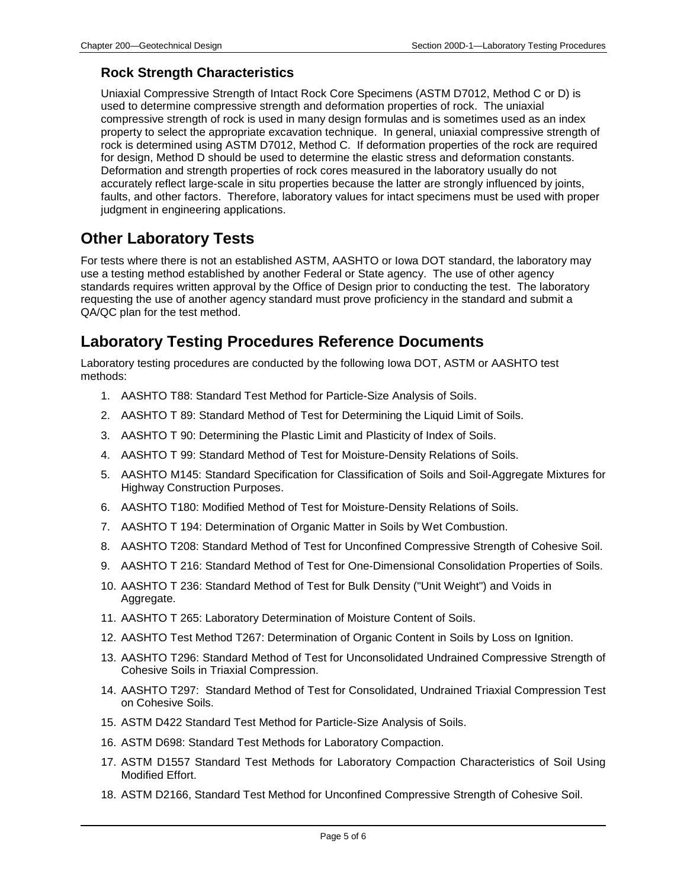#### **Rock Strength Characteristics**

Uniaxial Compressive Strength of Intact Rock Core Specimens (ASTM D7012, Method C or D) is used to determine compressive strength and deformation properties of rock. The uniaxial compressive strength of rock is used in many design formulas and is sometimes used as an index property to select the appropriate excavation technique. In general, uniaxial compressive strength of rock is determined using ASTM D7012, Method C. If deformation properties of the rock are required for design, Method D should be used to determine the elastic stress and deformation constants. Deformation and strength properties of rock cores measured in the laboratory usually do not accurately reflect large-scale in situ properties because the latter are strongly influenced by joints, faults, and other factors. Therefore, laboratory values for intact specimens must be used with proper judgment in engineering applications.

## **Other Laboratory Tests**

For tests where there is not an established ASTM, AASHTO or Iowa DOT standard, the laboratory may use a testing method established by another Federal or State agency. The use of other agency standards requires written approval by the Office of Design prior to conducting the test. The laboratory requesting the use of another agency standard must prove proficiency in the standard and submit a QA/QC plan for the test method.

### **Laboratory Testing Procedures Reference Documents**

Laboratory testing procedures are conducted by the following Iowa DOT, ASTM or AASHTO test methods:

- 1. AASHTO T88: Standard Test Method for Particle-Size Analysis of Soils.
- 2. AASHTO T 89: Standard Method of Test for Determining the Liquid Limit of Soils.
- 3. AASHTO T 90: Determining the Plastic Limit and Plasticity of Index of Soils.
- 4. AASHTO T 99: Standard Method of Test for Moisture-Density Relations of Soils.
- 5. AASHTO M145: Standard Specification for Classification of Soils and Soil-Aggregate Mixtures for Highway Construction Purposes.
- 6. AASHTO T180: Modified Method of Test for Moisture-Density Relations of Soils.
- 7. AASHTO T 194: Determination of Organic Matter in Soils by Wet Combustion.
- 8. AASHTO T208: Standard Method of Test for Unconfined Compressive Strength of Cohesive Soil.
- 9. AASHTO T 216: Standard Method of Test for One-Dimensional Consolidation Properties of Soils.
- 10. AASHTO T 236: Standard Method of Test for Bulk Density ("Unit Weight") and Voids in Aggregate.
- 11. AASHTO T 265: Laboratory Determination of Moisture Content of Soils.
- 12. AASHTO Test Method T267: Determination of Organic Content in Soils by Loss on Ignition.
- 13. AASHTO T296: Standard Method of Test for Unconsolidated Undrained Compressive Strength of Cohesive Soils in Triaxial Compression.
- 14. AASHTO T297: Standard Method of Test for Consolidated, Undrained Triaxial Compression Test on Cohesive Soils.
- 15. ASTM D422 Standard Test Method for Particle-Size Analysis of Soils.
- 16. ASTM D698: Standard Test Methods for Laboratory Compaction.
- 17. ASTM D1557 Standard Test Methods for Laboratory Compaction Characteristics of Soil Using Modified Effort.
- 18. ASTM D2166, Standard Test Method for Unconfined Compressive Strength of Cohesive Soil.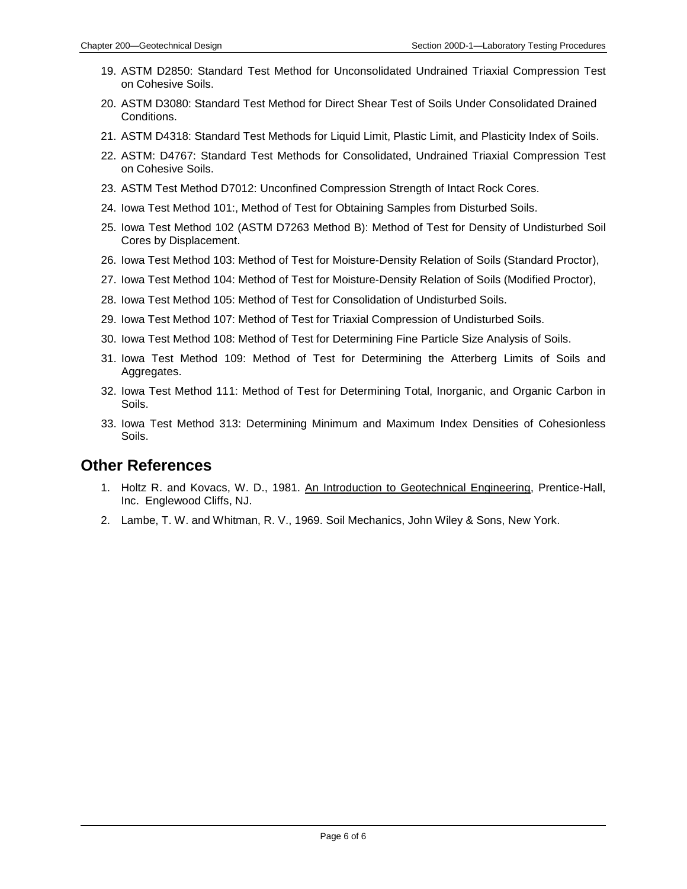- 19. ASTM D2850: Standard Test Method for Unconsolidated Undrained Triaxial Compression Test on Cohesive Soils.
- 20. ASTM D3080: Standard Test Method for Direct Shear Test of Soils Under Consolidated Drained Conditions.
- 21. ASTM D4318: Standard Test Methods for Liquid Limit, Plastic Limit, and Plasticity Index of Soils.
- 22. ASTM: D4767: Standard Test Methods for Consolidated, Undrained Triaxial Compression Test on Cohesive Soils.
- 23. ASTM Test Method D7012: Unconfined Compression Strength of Intact Rock Cores.
- 24. Iowa Test Method 101:, Method of Test for Obtaining Samples from Disturbed Soils.
- 25. Iowa Test Method 102 (ASTM D7263 Method B): Method of Test for Density of Undisturbed Soil Cores by Displacement.
- 26. Iowa Test Method 103: Method of Test for Moisture-Density Relation of Soils (Standard Proctor),
- 27. Iowa Test Method 104: Method of Test for Moisture-Density Relation of Soils (Modified Proctor),
- 28. Iowa Test Method 105: Method of Test for Consolidation of Undisturbed Soils.
- 29. Iowa Test Method 107: Method of Test for Triaxial Compression of Undisturbed Soils.
- 30. Iowa Test Method 108: Method of Test for Determining Fine Particle Size Analysis of Soils.
- 31. Iowa Test Method 109: Method of Test for Determining the Atterberg Limits of Soils and Aggregates.
- 32. Iowa Test Method 111: Method of Test for Determining Total, Inorganic, and Organic Carbon in Soils.
- 33. Iowa Test Method 313: Determining Minimum and Maximum Index Densities of Cohesionless Soils.

#### **Other References**

- 1. Holtz R. and Kovacs, W. D., 1981. An Introduction to Geotechnical Engineering, Prentice-Hall, Inc. Englewood Cliffs, NJ.
- 2. Lambe, T. W. and Whitman, R. V., 1969. Soil Mechanics, John Wiley & Sons, New York.